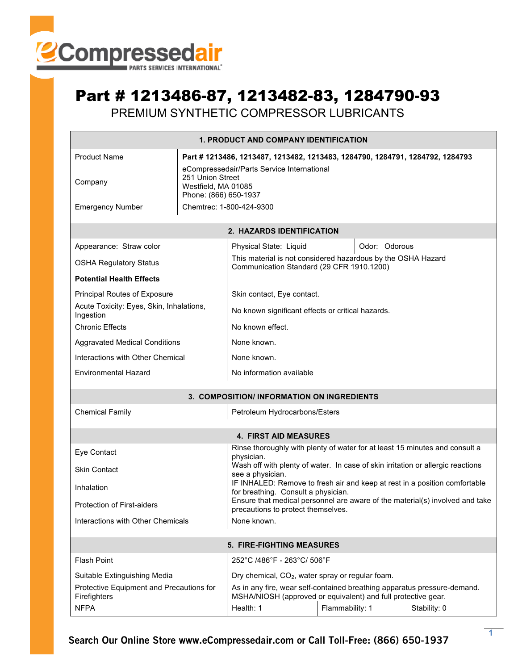

## Part # 1213486-87, 1213482-83, 1284790-93

PREMIUM SYNTHETIC COMPRESSOR LUBRICANTS

| <b>1. PRODUCT AND COMPANY IDENTIFICATION</b>                                                         |                                                                                                                |                                                                                                                                           |               |  |  |  |  |
|------------------------------------------------------------------------------------------------------|----------------------------------------------------------------------------------------------------------------|-------------------------------------------------------------------------------------------------------------------------------------------|---------------|--|--|--|--|
| <b>Product Name</b><br>Part # 1213486, 1213487, 1213482, 1213483, 1284790, 1284791, 1284792, 1284793 |                                                                                                                |                                                                                                                                           |               |  |  |  |  |
| Company                                                                                              | eCompressedair/Parts Service International<br>251 Union Street<br>Westfield, MA 01085<br>Phone: (866) 650-1937 |                                                                                                                                           |               |  |  |  |  |
| <b>Emergency Number</b>                                                                              | Chemtrec: 1-800-424-9300                                                                                       |                                                                                                                                           |               |  |  |  |  |
| <b>2. HAZARDS IDENTIFICATION</b>                                                                     |                                                                                                                |                                                                                                                                           |               |  |  |  |  |
| Appearance: Straw color                                                                              |                                                                                                                | Physical State: Liquid                                                                                                                    | Odor: Odorous |  |  |  |  |
| <b>OSHA Regulatory Status</b>                                                                        |                                                                                                                | This material is not considered hazardous by the OSHA Hazard<br>Communication Standard (29 CFR 1910.1200)                                 |               |  |  |  |  |
| <b>Potential Health Effects</b>                                                                      |                                                                                                                |                                                                                                                                           |               |  |  |  |  |
| Principal Routes of Exposure                                                                         |                                                                                                                | Skin contact, Eye contact.                                                                                                                |               |  |  |  |  |
| Acute Toxicity: Eyes, Skin, Inhalations,<br>Ingestion                                                |                                                                                                                | No known significant effects or critical hazards.                                                                                         |               |  |  |  |  |
| <b>Chronic Effects</b>                                                                               |                                                                                                                | No known effect.                                                                                                                          |               |  |  |  |  |
| <b>Aggravated Medical Conditions</b>                                                                 |                                                                                                                | None known.                                                                                                                               |               |  |  |  |  |
| Interactions with Other Chemical                                                                     |                                                                                                                | None known.                                                                                                                               |               |  |  |  |  |
| <b>Environmental Hazard</b>                                                                          |                                                                                                                | No information available                                                                                                                  |               |  |  |  |  |
| 3. COMPOSITION/ INFORMATION ON INGREDIENTS                                                           |                                                                                                                |                                                                                                                                           |               |  |  |  |  |
| <b>Chemical Family</b><br>Petroleum Hydrocarbons/Esters                                              |                                                                                                                |                                                                                                                                           |               |  |  |  |  |
| <b>4. FIRST AID MEASURES</b>                                                                         |                                                                                                                |                                                                                                                                           |               |  |  |  |  |
| Eye Contact                                                                                          |                                                                                                                | Rinse thoroughly with plenty of water for at least 15 minutes and consult a<br>physician.                                                 |               |  |  |  |  |
| <b>Skin Contact</b>                                                                                  |                                                                                                                | Wash off with plenty of water. In case of skin irritation or allergic reactions<br>see a physician.                                       |               |  |  |  |  |
| Inhalation                                                                                           |                                                                                                                | IF INHALED: Remove to fresh air and keep at rest in a position comfortable<br>for breathing. Consult a physician.                         |               |  |  |  |  |
| <b>Protection of First-aiders</b>                                                                    |                                                                                                                | Ensure that medical personnel are aware of the material(s) involved and take<br>precautions to protect themselves.                        |               |  |  |  |  |
| Interactions with Other Chemicals<br>None known.                                                     |                                                                                                                |                                                                                                                                           |               |  |  |  |  |
| <b>5. FIRE-FIGHTING MEASURES</b>                                                                     |                                                                                                                |                                                                                                                                           |               |  |  |  |  |
| <b>Flash Point</b>                                                                                   | 252°C /486°F - 263°C/ 506°F                                                                                    |                                                                                                                                           |               |  |  |  |  |
| Suitable Extinguishing Media                                                                         |                                                                                                                | Dry chemical, CO <sub>2</sub> , water spray or regular foam.                                                                              |               |  |  |  |  |
| Protective Equipment and Precautions for<br>Firefighters                                             |                                                                                                                | As in any fire, wear self-contained breathing apparatus pressure-demand.<br>MSHA/NIOSH (approved or equivalent) and full protective gear. |               |  |  |  |  |
| <b>NFPA</b>                                                                                          |                                                                                                                | Health: 1<br>Flammability: 1<br>Stability: 0                                                                                              |               |  |  |  |  |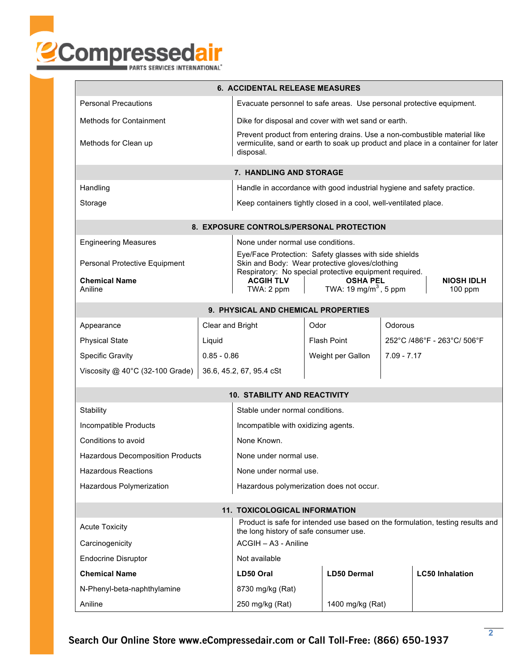

| <b>6. ACCIDENTAL RELEASE MEASURES</b>                                                                                                             |                      |                                                                                                                                                                            |                 |                    |  |                             |  |  |
|---------------------------------------------------------------------------------------------------------------------------------------------------|----------------------|----------------------------------------------------------------------------------------------------------------------------------------------------------------------------|-----------------|--------------------|--|-----------------------------|--|--|
| <b>Personal Precautions</b>                                                                                                                       |                      | Evacuate personnel to safe areas. Use personal protective equipment.                                                                                                       |                 |                    |  |                             |  |  |
| <b>Methods for Containment</b>                                                                                                                    |                      | Dike for disposal and cover with wet sand or earth.                                                                                                                        |                 |                    |  |                             |  |  |
| Methods for Clean up                                                                                                                              |                      | Prevent product from entering drains. Use a non-combustible material like<br>vermiculite, sand or earth to soak up product and place in a container for later<br>disposal. |                 |                    |  |                             |  |  |
| 7. HANDLING AND STORAGE                                                                                                                           |                      |                                                                                                                                                                            |                 |                    |  |                             |  |  |
| Handling                                                                                                                                          |                      | Handle in accordance with good industrial hygiene and safety practice.                                                                                                     |                 |                    |  |                             |  |  |
| Storage                                                                                                                                           |                      | Keep containers tightly closed in a cool, well-ventilated place.                                                                                                           |                 |                    |  |                             |  |  |
| <b>8. EXPOSURE CONTROLS/PERSONAL PROTECTION</b>                                                                                                   |                      |                                                                                                                                                                            |                 |                    |  |                             |  |  |
| <b>Engineering Measures</b>                                                                                                                       |                      | None under normal use conditions.                                                                                                                                          |                 |                    |  |                             |  |  |
|                                                                                                                                                   |                      | Eye/Face Protection: Safety glasses with side shields                                                                                                                      |                 |                    |  |                             |  |  |
| Personal Protective Equipment                                                                                                                     |                      | Skin and Body: Wear protective gloves/clothing<br>Respiratory: No special protective equipment required.                                                                   |                 |                    |  |                             |  |  |
| <b>Chemical Name</b><br>Aniline                                                                                                                   |                      | <b>OSHA PEL</b><br><b>ACGIH TLV</b><br><b>NIOSH IDLH</b><br>TWA: 19 mg/m <sup>3</sup> , 5 ppm<br>TWA: 2 ppm<br>$100$ ppm                                                   |                 |                    |  |                             |  |  |
| 9. PHYSICAL AND CHEMICAL PROPERTIES                                                                                                               |                      |                                                                                                                                                                            |                 |                    |  |                             |  |  |
| Appearance                                                                                                                                        | Clear and Bright     |                                                                                                                                                                            | Odor<br>Odorous |                    |  |                             |  |  |
| <b>Physical State</b>                                                                                                                             | Liquid               |                                                                                                                                                                            |                 | <b>Flash Point</b> |  | 252°C /486°F - 263°C/ 506°F |  |  |
| <b>Specific Gravity</b>                                                                                                                           | $0.85 - 0.86$        | Weight per Gallon                                                                                                                                                          |                 | $7.09 - 7.17$      |  |                             |  |  |
| Viscosity $@$ 40°C (32-100 Grade)                                                                                                                 |                      | 36.6, 45.2, 67, 95.4 cSt                                                                                                                                                   |                 |                    |  |                             |  |  |
|                                                                                                                                                   |                      | <b>10. STABILITY AND REACTIVITY</b>                                                                                                                                        |                 |                    |  |                             |  |  |
| Stability                                                                                                                                         |                      | Stable under normal conditions.                                                                                                                                            |                 |                    |  |                             |  |  |
| Incompatible Products                                                                                                                             |                      | Incompatible with oxidizing agents.                                                                                                                                        |                 |                    |  |                             |  |  |
| Conditions to avoid                                                                                                                               |                      | None Known.                                                                                                                                                                |                 |                    |  |                             |  |  |
| Hazardous Decomposition Products                                                                                                                  |                      | None under normal use                                                                                                                                                      |                 |                    |  |                             |  |  |
| <b>Hazardous Reactions</b>                                                                                                                        |                      | None under normal use.                                                                                                                                                     |                 |                    |  |                             |  |  |
| Hazardous Polymerization                                                                                                                          |                      | Hazardous polymerization does not occur.                                                                                                                                   |                 |                    |  |                             |  |  |
| <b>11. TOXICOLOGICAL INFORMATION</b>                                                                                                              |                      |                                                                                                                                                                            |                 |                    |  |                             |  |  |
| Product is safe for intended use based on the formulation, testing results and<br><b>Acute Toxicity</b><br>the long history of safe consumer use. |                      |                                                                                                                                                                            |                 |                    |  |                             |  |  |
| Carcinogenicity                                                                                                                                   | ACGIH - A3 - Aniline |                                                                                                                                                                            |                 |                    |  |                             |  |  |
| <b>Endocrine Disruptor</b>                                                                                                                        |                      | Not available                                                                                                                                                              |                 |                    |  |                             |  |  |
| <b>Chemical Name</b>                                                                                                                              |                      | LD50 Oral                                                                                                                                                                  |                 | <b>LD50 Dermal</b> |  | <b>LC50 Inhalation</b>      |  |  |
| N-Phenyl-beta-naphthylamine                                                                                                                       |                      | 8730 mg/kg (Rat)                                                                                                                                                           |                 |                    |  |                             |  |  |
| Aniline                                                                                                                                           |                      | 250 mg/kg (Rat)                                                                                                                                                            |                 | 1400 mg/kg (Rat)   |  |                             |  |  |